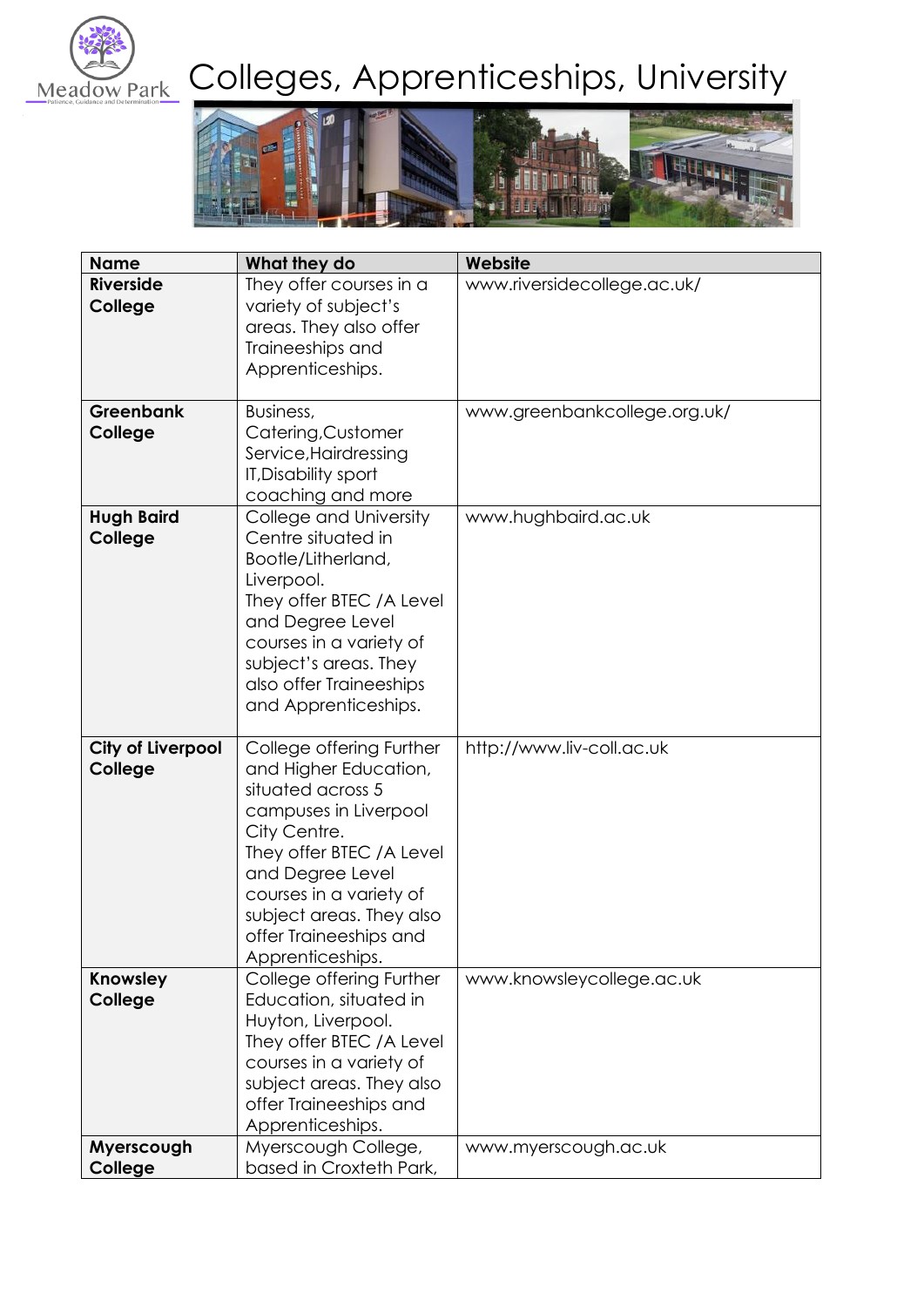

# Meadow Park Colleges, Apprenticeships, University



| <b>Name</b>                         | What they do                                                                                                                                                                                                                                                          | Website                      |
|-------------------------------------|-----------------------------------------------------------------------------------------------------------------------------------------------------------------------------------------------------------------------------------------------------------------------|------------------------------|
| <b>Riverside</b><br>College         | They offer courses in a<br>variety of subject's<br>areas. They also offer<br>Traineeships and<br>Apprenticeships.                                                                                                                                                     | www.riversidecollege.ac.uk/  |
| <b>Greenbank</b><br>College         | Business,<br>Catering, Customer<br>Service, Hairdressing<br><b>IT, Disability sport</b><br>coaching and more                                                                                                                                                          | www.greenbankcollege.org.uk/ |
| <b>Hugh Baird</b><br>College        | College and University<br>Centre situated in<br>Bootle/Litherland,<br>Liverpool.<br>They offer BTEC / A Level<br>and Degree Level<br>courses in a variety of<br>subject's areas. They<br>also offer Traineeships<br>and Apprenticeships.                              | www.hughbaird.ac.uk          |
| <b>City of Liverpool</b><br>College | College offering Further<br>and Higher Education,<br>situated across 5<br>campuses in Liverpool<br>City Centre.<br>They offer BTEC / A Level<br>and Degree Level<br>courses in a variety of<br>subject areas. They also<br>offer Traineeships and<br>Apprenticeships. | http://www.liv-coll.ac.uk    |
| Knowsley<br>College                 | College offering Further<br>Education, situated in<br>Huyton, Liverpool.<br>They offer BTEC / A Level<br>courses in a variety of<br>subject areas. They also<br>offer Traineeships and<br>Apprenticeships.                                                            | www.knowsleycollege.ac.uk    |
| Myerscough<br>College               | Myerscough College,<br>based in Croxteth Park,                                                                                                                                                                                                                        | www.myerscough.ac.uk         |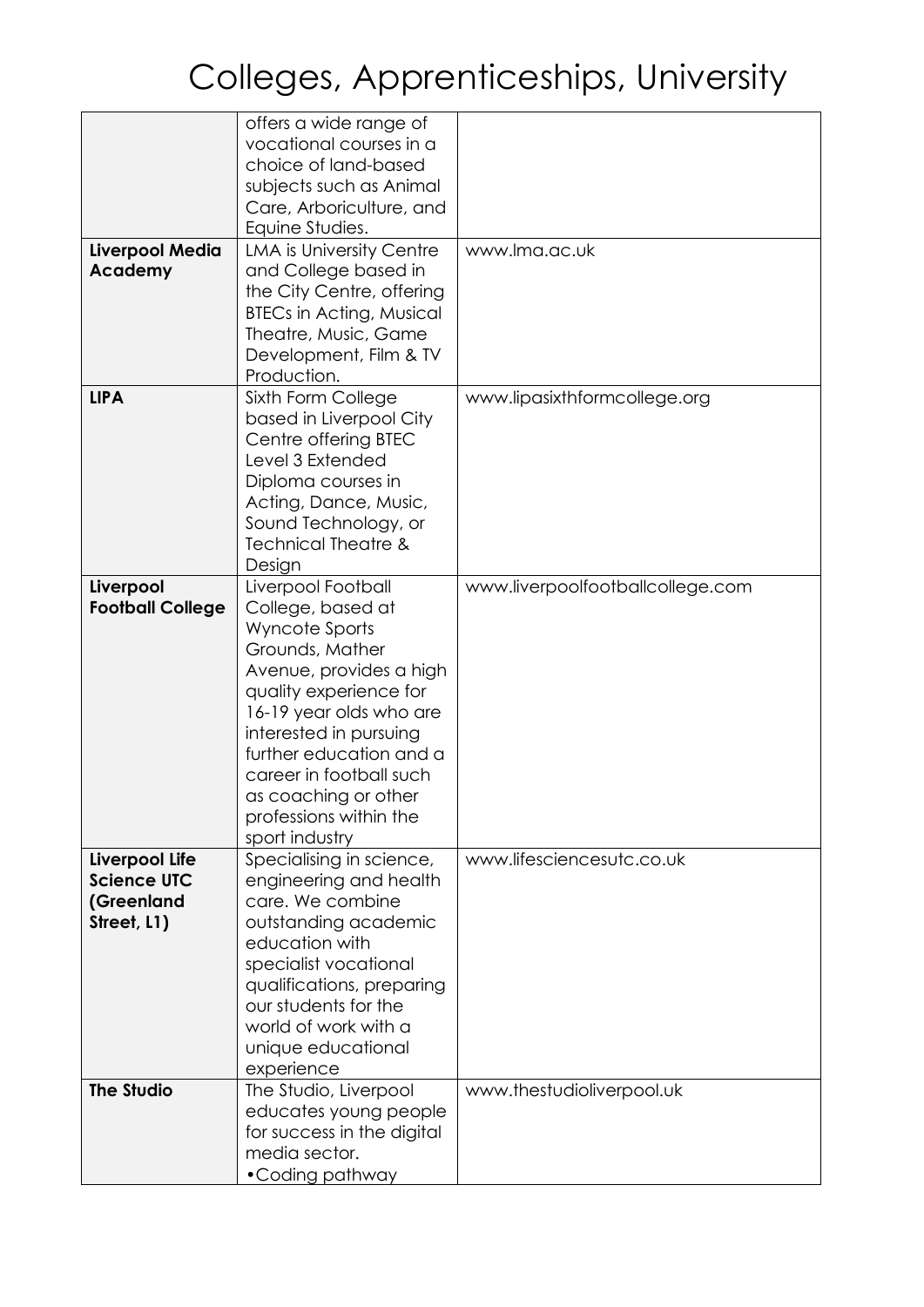|                                      | offers a wide range of                              |                                  |
|--------------------------------------|-----------------------------------------------------|----------------------------------|
|                                      | vocational courses in a<br>choice of land-based     |                                  |
|                                      |                                                     |                                  |
|                                      | subjects such as Animal<br>Care, Arboriculture, and |                                  |
|                                      | Equine Studies.                                     |                                  |
| <b>Liverpool Media</b>               | LMA is University Centre                            | www.lma.ac.uk                    |
| Academy                              | and College based in                                |                                  |
|                                      | the City Centre, offering                           |                                  |
|                                      | <b>BTECs in Acting, Musical</b>                     |                                  |
|                                      | Theatre, Music, Game                                |                                  |
|                                      | Development, Film & TV                              |                                  |
|                                      | Production.                                         |                                  |
| <b>LIPA</b>                          | Sixth Form College                                  | www.lipasixthformcollege.org     |
|                                      | based in Liverpool City                             |                                  |
|                                      | Centre offering BTEC                                |                                  |
|                                      | Level 3 Extended                                    |                                  |
|                                      | Diploma courses in                                  |                                  |
|                                      | Acting, Dance, Music,                               |                                  |
|                                      | Sound Technology, or                                |                                  |
|                                      | <b>Technical Theatre &amp;</b>                      |                                  |
|                                      | Design                                              |                                  |
| Liverpool                            | Liverpool Football                                  | www.liverpoolfootballcollege.com |
| <b>Football College</b>              | College, based at                                   |                                  |
|                                      | Wyncote Sports                                      |                                  |
|                                      | Grounds, Mather                                     |                                  |
|                                      | Avenue, provides a high                             |                                  |
|                                      | quality experience for                              |                                  |
|                                      | 16-19 year olds who are                             |                                  |
|                                      | interested in pursuing                              |                                  |
|                                      | further education and a                             |                                  |
|                                      | career in football such                             |                                  |
|                                      | as coaching or other                                |                                  |
|                                      | professions within the                              |                                  |
|                                      | sport industry                                      | www.lifesciencesutc.co.uk        |
| Liverpool Life<br><b>Science UTC</b> | Specialising in science,                            |                                  |
|                                      | engineering and health<br>care. We combine          |                                  |
| (Greenland                           | outstanding academic                                |                                  |
| Street, L1)                          | education with                                      |                                  |
|                                      | specialist vocational                               |                                  |
|                                      | qualifications, preparing                           |                                  |
|                                      | our students for the                                |                                  |
|                                      | world of work with a                                |                                  |
|                                      | unique educational                                  |                                  |
|                                      | experience                                          |                                  |
| <b>The Studio</b>                    | The Studio, Liverpool                               | www.thestudioliverpool.uk        |
|                                      | educates young people                               |                                  |
|                                      | for success in the digital                          |                                  |
|                                      | media sector.                                       |                                  |
|                                      | • Coding pathway                                    |                                  |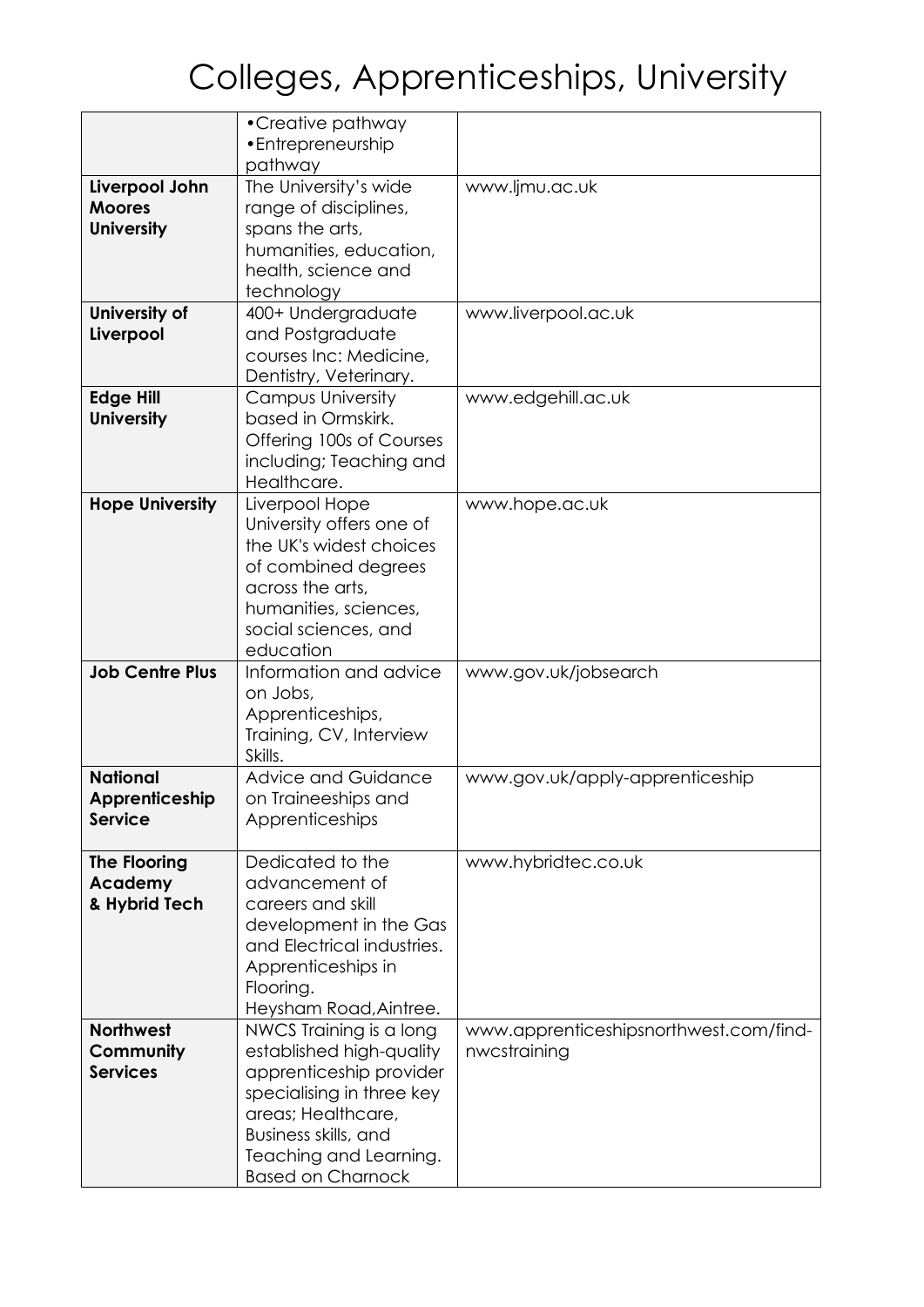|                        | • Creative pathway                                 |                                        |
|------------------------|----------------------------------------------------|----------------------------------------|
|                        | • Entrepreneurship                                 |                                        |
|                        | pathway                                            |                                        |
| Liverpool John         | The University's wide                              | www.ljmu.ac.uk                         |
| <b>Moores</b>          | range of disciplines,                              |                                        |
| <b>University</b>      | spans the arts,                                    |                                        |
|                        | humanities, education,                             |                                        |
|                        | health, science and                                |                                        |
|                        | technology                                         |                                        |
| University of          | 400+ Undergraduate                                 | www.liverpool.ac.uk                    |
| Liverpool              | and Postgraduate                                   |                                        |
|                        | courses Inc: Medicine,                             |                                        |
|                        | Dentistry, Veterinary.                             |                                        |
| <b>Edge Hill</b>       | <b>Campus University</b>                           | www.edgehill.ac.uk                     |
| <b>University</b>      | based in Ormskirk.                                 |                                        |
|                        | Offering 100s of Courses                           |                                        |
|                        | including; Teaching and                            |                                        |
|                        | Healthcare.                                        |                                        |
| <b>Hope University</b> | Liverpool Hope                                     | www.hope.ac.uk                         |
|                        | University offers one of                           |                                        |
|                        | the UK's widest choices                            |                                        |
|                        | of combined degrees                                |                                        |
|                        |                                                    |                                        |
|                        | across the arts,                                   |                                        |
|                        | humanities, sciences,                              |                                        |
|                        | social sciences, and                               |                                        |
|                        | education                                          |                                        |
| <b>Job Centre Plus</b> | Information and advice                             | www.gov.uk/jobsearch                   |
|                        | on Jobs,                                           |                                        |
|                        | Apprenticeships,                                   |                                        |
|                        | Training, CV, Interview                            |                                        |
|                        | Skills.                                            |                                        |
| <b>National</b>        | <b>Advice and Guidance</b>                         | www.gov.uk/apply-apprenticeship        |
| Apprenticeship         | on Traineeships and                                |                                        |
| <b>Service</b>         | Apprenticeships                                    |                                        |
|                        |                                                    |                                        |
| <b>The Flooring</b>    | Dedicated to the                                   | www.hybridtec.co.uk                    |
| Academy                |                                                    |                                        |
|                        | advancement of                                     |                                        |
| & Hybrid Tech          | careers and skill                                  |                                        |
|                        | development in the Gas                             |                                        |
|                        | and Electrical industries.                         |                                        |
|                        | Apprenticeships in                                 |                                        |
|                        | Flooring.                                          |                                        |
|                        |                                                    |                                        |
| <b>Northwest</b>       | Heysham Road, Aintree.                             |                                        |
|                        | NWCS Training is a long                            | www.apprenticeshipsnorthwest.com/find- |
| Community              | established high-quality                           | nwcstraining                           |
| <b>Services</b>        | apprenticeship provider                            |                                        |
|                        | specialising in three key                          |                                        |
|                        | areas; Healthcare,                                 |                                        |
|                        | Business skills, and                               |                                        |
|                        | Teaching and Learning.<br><b>Based on Charnock</b> |                                        |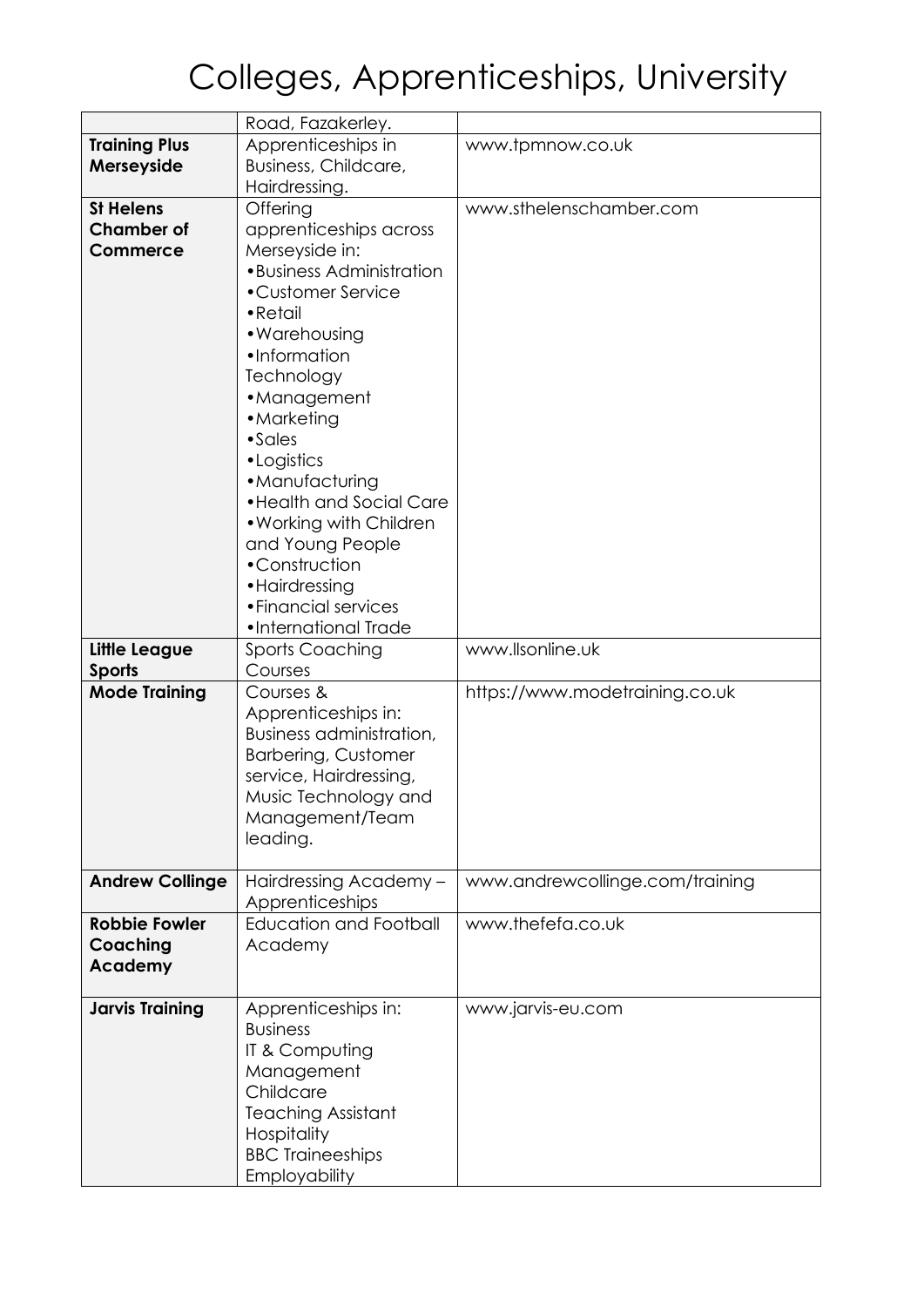|                                | Road, Fazakerley.                           |                                 |
|--------------------------------|---------------------------------------------|---------------------------------|
| <b>Training Plus</b>           | Apprenticeships in                          | www.tpmnow.co.uk                |
| Merseyside                     | Business, Childcare,                        |                                 |
|                                | Hairdressing.                               |                                 |
| <b>St Helens</b>               | Offering                                    | www.sthelenschamber.com         |
| <b>Chamber of</b>              | apprenticeships across                      |                                 |
| <b>Commerce</b>                | Merseyside in:<br>• Business Administration |                                 |
|                                | • Customer Service                          |                                 |
|                                | $\bullet$ Retail                            |                                 |
|                                | • Warehousing                               |                                 |
|                                | •Information                                |                                 |
|                                | Technology                                  |                                 |
|                                | • Management                                |                                 |
|                                | • Marketing                                 |                                 |
|                                | $\bullet$ Sales                             |                                 |
|                                | • Logistics<br>• Manufacturing              |                                 |
|                                | • Health and Social Care                    |                                 |
|                                | . Working with Children                     |                                 |
|                                | and Young People                            |                                 |
|                                | •Construction                               |                                 |
|                                | • Hairdressing                              |                                 |
|                                | • Financial services                        |                                 |
|                                | •International Trade                        | www.llsonline.uk                |
| Little League<br><b>Sports</b> | <b>Sports Coaching</b><br>Courses           |                                 |
| <b>Mode Training</b>           | Courses &                                   | https://www.modetraining.co.uk  |
|                                | Apprenticeships in:                         |                                 |
|                                | Business administration,                    |                                 |
|                                | <b>Barbering, Customer</b>                  |                                 |
|                                | service, Hairdressing,                      |                                 |
|                                | Music Technology and                        |                                 |
|                                | Management/Team<br>leading.                 |                                 |
|                                |                                             |                                 |
| <b>Andrew Collinge</b>         | Hairdressing Academy -                      | www.andrewcollinge.com/training |
|                                | Apprenticeships                             |                                 |
| <b>Robbie Fowler</b>           | <b>Education and Football</b>               | www.thefefa.co.uk               |
| Coaching                       | Academy                                     |                                 |
| Academy                        |                                             |                                 |
| <b>Jarvis Training</b>         | Apprenticeships in:                         | www.jarvis-eu.com               |
|                                | <b>Business</b>                             |                                 |
|                                | IT & Computing                              |                                 |
|                                | Management                                  |                                 |
|                                | Childcare                                   |                                 |
|                                | <b>Teaching Assistant</b><br>Hospitality    |                                 |
|                                | <b>BBC Traineeships</b>                     |                                 |
|                                | Employability                               |                                 |